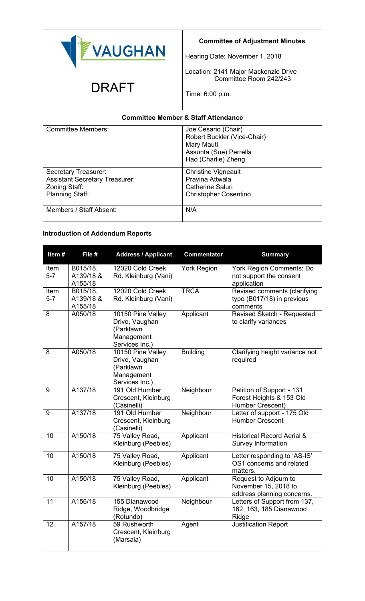

# **Committee of Adjustment Minutes**

Hearing Date: November 1, 2018

Location: 2141 Major Mackenzie Drive Committee Room 242/243

# $\mathsf{DRAFT}$   $\Big|_{\mathsf{Time: 6:00 p.m.}}$

| <b>Committee Member &amp; Staff Attendance</b>                                                           |                                                                                                                   |  |
|----------------------------------------------------------------------------------------------------------|-------------------------------------------------------------------------------------------------------------------|--|
| <b>Committee Members:</b>                                                                                | Joe Cesario (Chair)<br>Robert Buckler (Vice-Chair)<br>Mary Mauti<br>Assunta (Sue) Perrella<br>Hao (Charlie) Zheng |  |
| Secretary Treasurer:<br><b>Assistant Secretary Treasurer:</b><br>Zoning Staff:<br><b>Planning Staff:</b> | <b>Christine Vigneault</b><br>Pravina Attwala<br><b>Catherine Saluri</b><br><b>Christopher Cosentino</b>          |  |
| Members / Staff Absent:                                                                                  | N/A                                                                                                               |  |

# **Introduction of Addendum Reports**

| Item#           | File #                           | <b>Address / Applicant</b>                                                       | <b>Commentator</b> | <b>Summary</b>                                                              |
|-----------------|----------------------------------|----------------------------------------------------------------------------------|--------------------|-----------------------------------------------------------------------------|
| Item<br>$5-7$   | B015/18,<br>A139/18 &<br>A155/18 | 12020 Cold Creek<br>Rd. Kleinburg (Vani)                                         | <b>York Region</b> | <b>York Region Comments: Do</b><br>not support the consent<br>application   |
| Item<br>$5 - 7$ | B015/18,<br>A139/18 &<br>A155/18 | 12020 Cold Creek<br>Rd. Kleinburg (Vani)                                         | <b>TRCA</b>        | Revised comments (clarifying<br>typo (B017/18) in previous<br>comments      |
| 8               | A050/18                          | 10150 Pine Valley<br>Drive, Vaughan<br>(Parklawn<br>Management<br>Services Inc.) | Applicant          | Revised Sketch - Requested<br>to clarify variances                          |
| 8               | A050/18                          | 10150 Pine Valley<br>Drive, Vaughan<br>(Parklawn<br>Management<br>Services Inc.) | <b>Building</b>    | Clarifying height variance not<br>required                                  |
| 9               | A137/18                          | 191 Old Humber<br>Crescent, Kleinburg<br>(Casinelli)                             | Neighbour          | Petition of Support - 131<br>Forest Heights & 153 Old<br>Humber Crescent)   |
| 9               | A137/18                          | 191 Old Humber<br>Crescent, Kleinburg<br>(Casinelli)                             | Neighbour          | Letter of support - 175 Old<br><b>Humber Crescent</b>                       |
| 10              | A150/18                          | 75 Valley Road,<br>Kleinburg (Peebles)                                           | Applicant          | <b>Historical Record Aerial &amp;</b><br><b>Survey Information</b>          |
| 10              | A150/18                          | 75 Valley Road,<br>Kleinburg (Peebles)                                           | Applicant          | Letter responding to 'AS-IS'<br>OS1 concerns and related<br>matters.        |
| 10              | A150/18                          | 75 Valley Road,<br>Kleinburg (Peebles)                                           | Applicant          | Request to Adjourn to<br>November 15, 2018 to<br>address planning concerns. |
| 11              | A156/18                          | 155 Dianawood<br>Ridge, Woodbridge<br>(Rotundo)                                  | Neighbour          | Letters of Support from 137,<br>162, 163, 185 Dianawood<br>Ridge            |
| 12              | A157/18                          | 59 Rushworth<br>Crescent, Kleinburg<br>(Marsala)                                 | Agent              | Justification Report                                                        |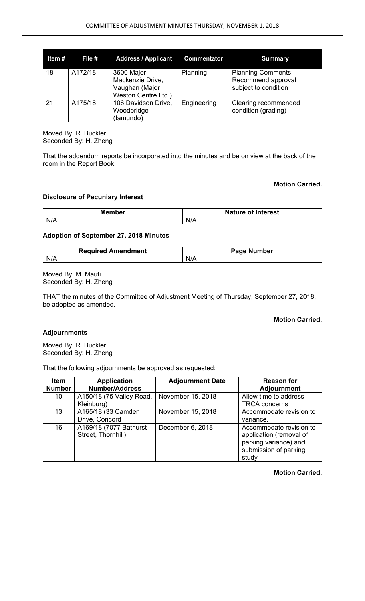| Item# | File #  | <b>Address / Applicant</b>                                              | <b>Commentator</b> | <b>Summary</b>                                                          |
|-------|---------|-------------------------------------------------------------------------|--------------------|-------------------------------------------------------------------------|
| 18    | A172/18 | 3600 Major<br>Mackenzie Drive,<br>Vaughan (Major<br>Weston Centre Ltd.) | Planning           | <b>Planning Comments:</b><br>Recommend approval<br>subject to condition |
| 21    | A175/18 | 106 Davidson Drive,<br>Woodbridge<br>(lamundo)                          | Engineering        | Clearing recommended<br>condition (grading)                             |

Moved By: R. Buckler Seconded By: H. Zheng

That the addendum reports be incorporated into the minutes and be on view at the back of the room in the Report Book.

## **Motion Carried.**

## **Disclosure of Pecuniary Interest**

| <b>Member</b> | <b>Nature</b><br>of Interest |
|---------------|------------------------------|
| N/A           | N/A                          |

# **Adoption of September 27, 2018 Minutes**

| <b>Required Amendment</b> | - המפר<br>Number<br>аое |
|---------------------------|-------------------------|
| NI/4                      | N                       |
| $\mathbf{v}$              | <b>177</b>              |

Moved By: M. Mauti Seconded By: H. Zheng

THAT the minutes of the Committee of Adjustment Meeting of Thursday, September 27, 2018, be adopted as amended.

## **Motion Carried.**

# **Adjournments**

Moved By: R. Buckler Seconded By: H. Zheng

That the following adjournments be approved as requested:

| <b>Item</b>   | <b>Application</b>                           | <b>Adjournment Date</b> | <b>Reason for</b>                                  |
|---------------|----------------------------------------------|-------------------------|----------------------------------------------------|
| <b>Number</b> | <b>Number/Address</b>                        |                         | <b>Adjournment</b>                                 |
| 10            | A150/18 (75 Valley Road,                     | November 15, 2018       | Allow time to address                              |
|               | Kleinburg)                                   |                         | <b>TRCA concerns</b>                               |
| 13            | A165/18 (33 Camden                           | November 15, 2018       | Accommodate revision to                            |
|               | Drive, Concord                               |                         | variance.                                          |
| 16            | A169/18 (7077 Bathurst<br>Street, Thornhill) | December 6, 2018        | Accommodate revision to<br>application (removal of |
|               |                                              |                         | parking variance) and<br>submission of parking     |
|               |                                              |                         | study                                              |

## **Motion Carried.**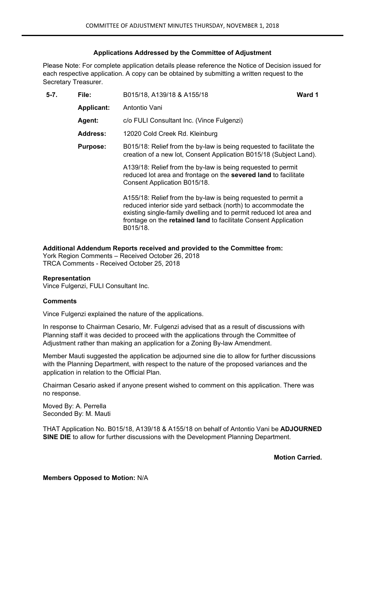## **Applications Addressed by the Committee of Adjustment**

Please Note: For complete application details please reference the Notice of Decision issued for each respective application. A copy can be obtained by submitting a written request to the Secretary Treasurer.

| $5 - 7$ .                                           | File:<br>B015/18, A139/18 & A155/18 |                                                                                                                                                                                                                                                                                      | Ward 1 |
|-----------------------------------------------------|-------------------------------------|--------------------------------------------------------------------------------------------------------------------------------------------------------------------------------------------------------------------------------------------------------------------------------------|--------|
|                                                     | <b>Applicant:</b>                   | Antontio Vani                                                                                                                                                                                                                                                                        |        |
| c/o FULI Consultant Inc. (Vince Fulgenzi)<br>Agent: |                                     |                                                                                                                                                                                                                                                                                      |        |
|                                                     | <b>Address:</b>                     | 12020 Cold Creek Rd. Kleinburg                                                                                                                                                                                                                                                       |        |
|                                                     | <b>Purpose:</b>                     | B015/18: Relief from the by-law is being requested to facilitate the<br>creation of a new lot, Consent Application B015/18 (Subject Land).                                                                                                                                           |        |
|                                                     |                                     | A139/18: Relief from the by-law is being requested to permit<br>reduced lot area and frontage on the severed land to facilitate<br>Consent Application B015/18.                                                                                                                      |        |
|                                                     |                                     | A155/18: Relief from the by-law is being requested to permit a<br>reduced interior side yard setback (north) to accommodate the<br>existing single-family dwelling and to permit reduced lot area and<br>frontage on the retained land to facilitate Consent Application<br>B015/18. |        |

## **Additional Addendum Reports received and provided to the Committee from:**

York Region Comments – Received October 26, 2018 TRCA Comments - Received October 25, 2018

## **Representation**

Vince Fulgenzi, FULI Consultant Inc.

#### **Comments**

Vince Fulgenzi explained the nature of the applications.

In response to Chairman Cesario, Mr. Fulgenzi advised that as a result of discussions with Planning staff it was decided to proceed with the applications through the Committee of Adjustment rather than making an application for a Zoning By-law Amendment.

Member Mauti suggested the application be adjourned sine die to allow for further discussions with the Planning Department, with respect to the nature of the proposed variances and the application in relation to the Official Plan.

Chairman Cesario asked if anyone present wished to comment on this application. There was no response.

Moved By: A. Perrella Seconded By: M. Mauti

THAT Application No. B015/18, A139/18 & A155/18 on behalf of Antontio Vani be **ADJOURNED SINE DIE** to allow for further discussions with the Development Planning Department.

**Motion Carried.**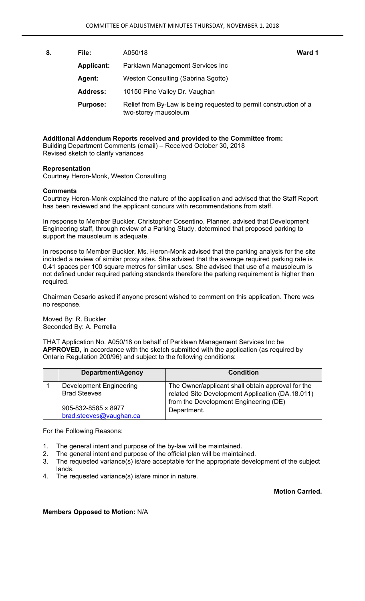**8. File:** A050/18 **Ward 1 Applicant:** Parklawn Management Services Inc Agent: Weston Consulting (Sabrina Sgotto)  **Address:** 10150 Pine Valley Dr. Vaughan  **Purpose:** Relief from By-Law is being requested to permit construction of a two-storey mausoleum

**Additional Addendum Reports received and provided to the Committee from:**  Building Department Comments (email) – Received October 30, 2018 Revised sketch to clarify variances

#### **Representation**

Courtney Heron-Monk, Weston Consulting

#### **Comments**

Courtney Heron-Monk explained the nature of the application and advised that the Staff Report has been reviewed and the applicant concurs with recommendations from staff.

In response to Member Buckler, Christopher Cosentino, Planner, advised that Development Engineering staff, through review of a Parking Study, determined that proposed parking to support the mausoleum is adequate.

In response to Member Buckler, Ms. Heron-Monk advised that the parking analysis for the site included a review of similar proxy sites. She advised that the average required parking rate is 0.41 spaces per 100 square metres for similar uses. She advised that use of a mausoleum is not defined under required parking standards therefore the parking requirement is higher than required.

Chairman Cesario asked if anyone present wished to comment on this application. There was no response.

Moved By: R. Buckler Seconded By: A. Perrella

THAT Application No. A050/18 on behalf of Parklawn Management Services Inc be **APPROVED**, in accordance with the sketch submitted with the application (as required by Ontario Regulation 200/96) and subject to the following conditions:

| Department/Agency                                     | <b>Condition</b>                                                                                      |
|-------------------------------------------------------|-------------------------------------------------------------------------------------------------------|
| <b>Development Engineering</b><br><b>Brad Steeves</b> | The Owner/applicant shall obtain approval for the<br>related Site Development Application (DA.18.011) |
| 905-832-8585 x 8977<br>brad.steeves@vaughan.ca        | from the Development Engineering (DE)<br>Department.                                                  |

For the Following Reasons:

- 1. The general intent and purpose of the by-law will be maintained.
- 2. The general intent and purpose of the official plan will be maintained.
- 3. The requested variance(s) is/are acceptable for the appropriate development of the subject lands.
- 4. The requested variance(s) is/are minor in nature.

**Motion Carried.**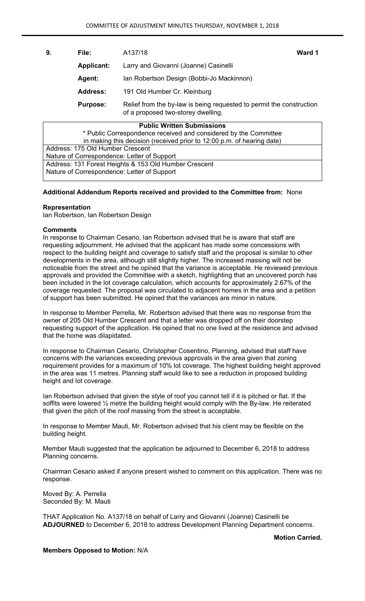| 9.                                                                                                                            | File:                                                      | A137/18                                   | Ward 1 |  |
|-------------------------------------------------------------------------------------------------------------------------------|------------------------------------------------------------|-------------------------------------------|--------|--|
|                                                                                                                               | <b>Applicant:</b><br>Larry and Giovanni (Joanne) Casinelli |                                           |        |  |
|                                                                                                                               | Agent:                                                     | Ian Robertson Design (Bobbi-Jo Mackinnon) |        |  |
| <b>Address:</b><br>191 Old Humber Cr. Kleinburg                                                                               |                                                            |                                           |        |  |
| Relief from the by-law is being requested to permit the construction<br><b>Purpose:</b><br>of a proposed two-storey dwelling. |                                                            |                                           |        |  |
|                                                                                                                               |                                                            | <b>Public Written Submissions</b>         |        |  |
| * Public Correspondence received and considered by the Committee                                                              |                                                            |                                           |        |  |
| in making this decision (received prior to 12:00 p.m. of hearing date)                                                        |                                                            |                                           |        |  |
| Address: 175 Old Humber Crossopt                                                                                              |                                                            |                                           |        |  |

Address: 175 Old Humber Crescent Nature of Correspondence: Letter of Support Address: 131 Forest Heights & 153 Old Humber Crescent Nature of Correspondence: Letter of Support

## **Additional Addendum Reports received and provided to the Committee from:** None

## **Representation**

Ian Robertson, Ian Robertson Design

#### **Comments**

In response to Chairman Cesario, Ian Robertson advised that he is aware that staff are requesting adjournment. He advised that the applicant has made some concessions with respect to the building height and coverage to satisfy staff and the proposal is similar to other developments in the area, although still slightly higher. The increased massing will not be noticeable from the street and he opined that the variance is acceptable. He reviewed previous approvals and provided the Committee with a sketch, highlighting that an uncovered porch has been included in the lot coverage calculation, which accounts for approximately 2.67% of the coverage requested. The proposal was circulated to adjacent homes in the area and a petition of support has been submitted. He opined that the variances are minor in nature.

In response to Member Perrella, Mr. Robertson advised that there was no response from the owner of 205 Old Humber Crescent and that a letter was dropped off on their doorstep requesting support of the application. He opined that no one lived at the residence and advised that the home was dilapidated.

In response to Chairman Cesario, Christopher Cosentino, Planning, advised that staff have concerns with the variances exceeding previous approvals in the area given that zoning requirement provides for a maximum of 10% lot coverage. The highest building height approved in the area was 11 metres. Planning staff would like to see a reduction in proposed building height and lot coverage.

Ian Robertson advised that given the style of roof you cannot tell if it is pitched or flat. If the soffits were lowered ½ metre the building height would comply with the By-law. He reiterated that given the pitch of the roof massing from the street is acceptable.

In response to Member Mauti, Mr. Robertson advised that his client may be flexible on the building height.

Member Mauti suggested that the application be adjourned to December 6, 2018 to address Planning concerns.

Chairman Cesario asked if anyone present wished to comment on this application. There was no response.

Moved By: A. Perrella Seconded By: M. Mauti

THAT Application No. A137/18 on behalf of Larry and Giovanni (Joanne) Casinelli be **ADJOURNED** to December 6, 2018 to address Development Planning Department concerns.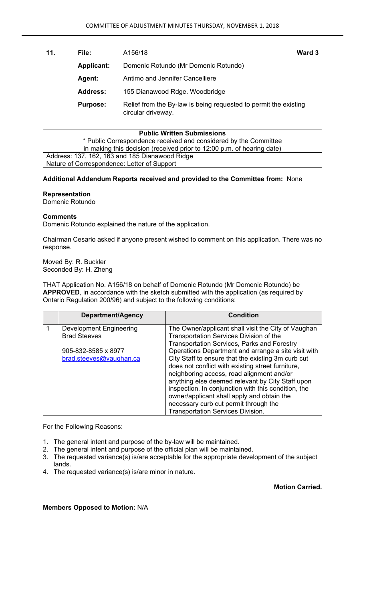**11. File:** A156/18 **Ward 3 Applicant:** Domenic Rotundo (Mr Domenic Rotundo)  **Agent:** Antimo and Jennifer Cancelliere  **Address:** 155 Dianawood Rdge. Woodbridge **Purpose:** Relief from the By-law is being requested to permit the existing circular driveway.

| <b>Public Written Submissions</b>                                      |  |  |
|------------------------------------------------------------------------|--|--|
| * Public Correspondence received and considered by the Committee       |  |  |
| in making this decision (received prior to 12:00 p.m. of hearing date) |  |  |
| Address: 137, 162, 163 and 185 Dianawood Ridge                         |  |  |
| Nature of Correspondence: Letter of Support                            |  |  |

## **Additional Addendum Reports received and provided to the Committee from:** None

## **Representation**

Domenic Rotundo

## **Comments**

Domenic Rotundo explained the nature of the application.

Chairman Cesario asked if anyone present wished to comment on this application. There was no response.

Moved By: R. Buckler Seconded By: H. Zheng

THAT Application No. A156/18 on behalf of Domenic Rotundo (Mr Domenic Rotundo) be **APPROVED**, in accordance with the sketch submitted with the application (as required by Ontario Regulation 200/96) and subject to the following conditions:

| Department/Agency              | <b>Condition</b>                                    |
|--------------------------------|-----------------------------------------------------|
| <b>Development Engineering</b> | The Owner/applicant shall visit the City of Vaughan |
| <b>Brad Steeves</b>            | Transportation Services Division of the             |
|                                | <b>Transportation Services, Parks and Forestry</b>  |
| 905-832-8585 x 8977            | Operations Department and arrange a site visit with |
| brad.steeves@vaughan.ca        | City Staff to ensure that the existing 3m curb cut  |
|                                | does not conflict with existing street furniture,   |
|                                | neighboring access, road alignment and/or           |
|                                | anything else deemed relevant by City Staff upon    |
|                                | inspection. In conjunction with this condition, the |
|                                | owner/applicant shall apply and obtain the          |
|                                | necessary curb cut permit through the               |
|                                | Transportation Services Division.                   |

For the Following Reasons:

- 1. The general intent and purpose of the by-law will be maintained.
- 2. The general intent and purpose of the official plan will be maintained.
- 3. The requested variance(s) is/are acceptable for the appropriate development of the subject lands.
- 4. The requested variance(s) is/are minor in nature.

**Motion Carried.**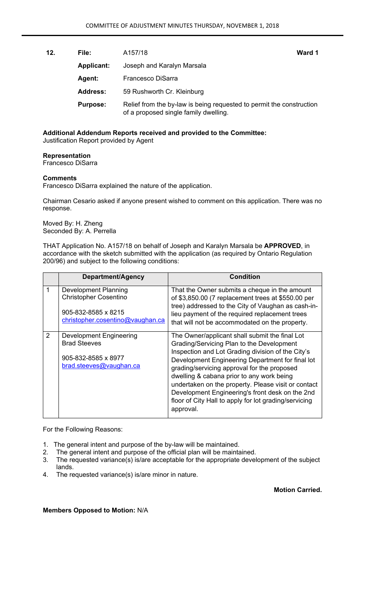**12. File:** A157/18 **Ward 1 Applicant:** Joseph and Karalyn Marsala  **Agent:** Francesco DiSarra  **Address:** 59 Rushworth Cr. Kleinburg **Purpose:** Relief from the by-law is being requested to permit the construction of a proposed single family dwelling.

**Additional Addendum Reports received and provided to the Committee:**  Justification Report provided by Agent

## **Representation**

Francesco DiSarra

## **Comments**

Francesco DiSarra explained the nature of the application.

Chairman Cesario asked if anyone present wished to comment on this application. There was no response.

Moved By: H. Zheng Seconded By: A. Perrella

THAT Application No. A157/18 on behalf of Joseph and Karalyn Marsala be **APPROVED**, in accordance with the sketch submitted with the application (as required by Ontario Regulation 200/96) and subject to the following conditions:

|               | Department/Agency                                                                                                      | <b>Condition</b>                                                                                                                                                                                                                                                                                                                                                                                                                                                                 |
|---------------|------------------------------------------------------------------------------------------------------------------------|----------------------------------------------------------------------------------------------------------------------------------------------------------------------------------------------------------------------------------------------------------------------------------------------------------------------------------------------------------------------------------------------------------------------------------------------------------------------------------|
|               | <b>Development Planning</b><br><b>Christopher Cosentino</b><br>905-832-8585 x 8215<br>christopher.cosentino@vaughan.ca | That the Owner submits a cheque in the amount<br>of \$3,850.00 (7 replacement trees at \$550.00 per<br>tree) addressed to the City of Vaughan as cash-in-<br>lieu payment of the required replacement trees<br>that will not be accommodated on the property.                                                                                                                                                                                                                    |
| $\mathcal{P}$ | <b>Development Engineering</b><br><b>Brad Steeves</b><br>905-832-8585 x 8977<br>brad.steeves@vaughan.ca                | The Owner/applicant shall submit the final Lot<br>Grading/Servicing Plan to the Development<br>Inspection and Lot Grading division of the City's<br>Development Engineering Department for final lot<br>grading/servicing approval for the proposed<br>dwelling & cabana prior to any work being<br>undertaken on the property. Please visit or contact<br>Development Engineering's front desk on the 2nd<br>floor of City Hall to apply for lot grading/servicing<br>approval. |

For the Following Reasons:

- 1. The general intent and purpose of the by-law will be maintained.<br>2. The general intent and purpose of the official plan will be mainta
- The general intent and purpose of the official plan will be maintained.
- 3. The requested variance(s) is/are acceptable for the appropriate development of the subject lands.
- 4. The requested variance(s) is/are minor in nature.

**Motion Carried.**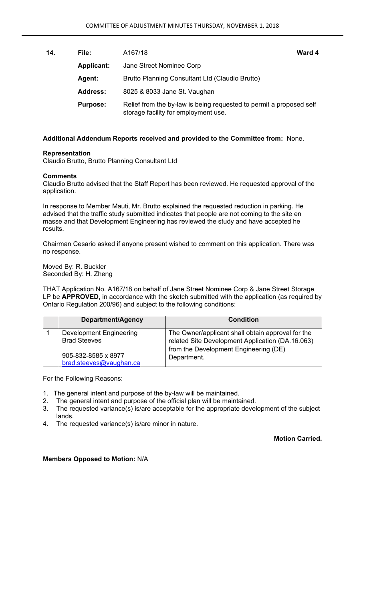| 14. | File:             | A167/18                                                                                                     | Ward 4 |
|-----|-------------------|-------------------------------------------------------------------------------------------------------------|--------|
|     | <b>Applicant:</b> | Jane Street Nominee Corp                                                                                    |        |
|     | <b>Agent:</b>     | Brutto Planning Consultant Ltd (Claudio Brutto)                                                             |        |
|     | <b>Address:</b>   | 8025 & 8033 Jane St. Vaughan                                                                                |        |
|     | <b>Purpose:</b>   | Relief from the by-law is being requested to permit a proposed self<br>storage facility for employment use. |        |

#### **Representation**

Claudio Brutto, Brutto Planning Consultant Ltd

#### **Comments**

Claudio Brutto advised that the Staff Report has been reviewed. He requested approval of the application.

In response to Member Mauti, Mr. Brutto explained the requested reduction in parking. He advised that the traffic study submitted indicates that people are not coming to the site en masse and that Development Engineering has reviewed the study and have accepted he results.

Chairman Cesario asked if anyone present wished to comment on this application. There was no response.

Moved By: R. Buckler Seconded By: H. Zheng

THAT Application No. A167/18 on behalf of Jane Street Nominee Corp & Jane Street Storage LP be **APPROVED**, in accordance with the sketch submitted with the application (as required by Ontario Regulation 200/96) and subject to the following conditions:

| Department/Agency                                     | <b>Condition</b>                                                                                      |
|-------------------------------------------------------|-------------------------------------------------------------------------------------------------------|
| <b>Development Engineering</b><br><b>Brad Steeves</b> | The Owner/applicant shall obtain approval for the<br>related Site Development Application (DA.16.063) |
| 905-832-8585 x 8977<br>brad.steeves@vaughan.ca        | from the Development Engineering (DE)<br>Department.                                                  |

For the Following Reasons:

- 1. The general intent and purpose of the by-law will be maintained.
- 2. The general intent and purpose of the official plan will be maintained.
- 3. The requested variance(s) is/are acceptable for the appropriate development of the subject lands.
- 4. The requested variance(s) is/are minor in nature.

**Motion Carried.**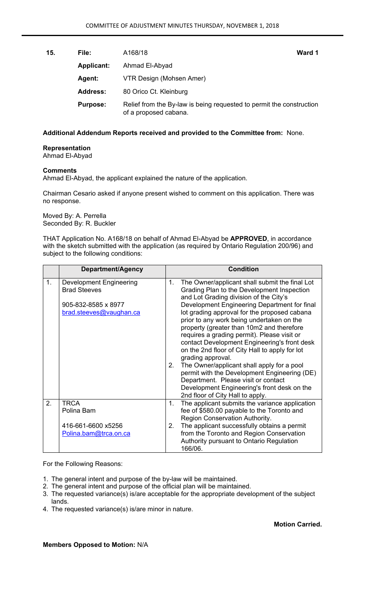**15. File:** A168/18 **Ward 1 Applicant:** Ahmad El-Abyad  **Agent:** VTR Design (Mohsen Amer) Address: 80 Orico Ct. Kleinburg **Purpose:** Relief from the By-law is being requested to permit the construction of a proposed cabana.

## **Additional Addendum Reports received and provided to the Committee from:** None.

# **Representation**

Ahmad El-Abyad

## **Comments**

Ahmad El-Abyad, the applicant explained the nature of the application.

Chairman Cesario asked if anyone present wished to comment on this application. There was no response.

Moved By: A. Perrella Seconded By: R. Buckler

THAT Application No. A168/18 on behalf of Ahmad El-Abyad be **APPROVED**, in accordance with the sketch submitted with the application (as required by Ontario Regulation 200/96) and subject to the following conditions:

|    | Department/Agency                                                                                       |               | <b>Condition</b>                                                                                                                                                                                                                                                                                                                                                                                                                                                                                                                                                                                                                                                                                                               |
|----|---------------------------------------------------------------------------------------------------------|---------------|--------------------------------------------------------------------------------------------------------------------------------------------------------------------------------------------------------------------------------------------------------------------------------------------------------------------------------------------------------------------------------------------------------------------------------------------------------------------------------------------------------------------------------------------------------------------------------------------------------------------------------------------------------------------------------------------------------------------------------|
| 1. | <b>Development Engineering</b><br><b>Brad Steeves</b><br>905-832-8585 x 8977<br>brad.steeves@yaughan.ca | $1_{-}$<br>2. | The Owner/applicant shall submit the final Lot<br>Grading Plan to the Development Inspection<br>and Lot Grading division of the City's<br>Development Engineering Department for final<br>lot grading approval for the proposed cabana<br>prior to any work being undertaken on the<br>property (greater than 10m2 and therefore<br>requires a grading permit). Please visit or<br>contact Development Engineering's front desk<br>on the 2nd floor of City Hall to apply for lot<br>grading approval.<br>The Owner/applicant shall apply for a pool<br>permit with the Development Engineering (DE)<br>Department. Please visit or contact<br>Development Engineering's front desk on the<br>2nd floor of City Hall to apply. |
| 2. | <b>TRCA</b><br>Polina Bam                                                                               | 1.            | The applicant submits the variance application<br>fee of \$580.00 payable to the Toronto and<br>Region Conservation Authority.                                                                                                                                                                                                                                                                                                                                                                                                                                                                                                                                                                                                 |
|    | 416-661-6600 x5256<br>Polina.bam@trca.on.ca                                                             | 2.            | The applicant successfully obtains a permit<br>from the Toronto and Region Conservation<br>Authority pursuant to Ontario Regulation<br>166/06.                                                                                                                                                                                                                                                                                                                                                                                                                                                                                                                                                                                 |

For the Following Reasons:

- 1. The general intent and purpose of the by-law will be maintained.
- 2. The general intent and purpose of the official plan will be maintained.
- 3. The requested variance(s) is/are acceptable for the appropriate development of the subject lands.
- 4. The requested variance(s) is/are minor in nature.

**Motion Carried.**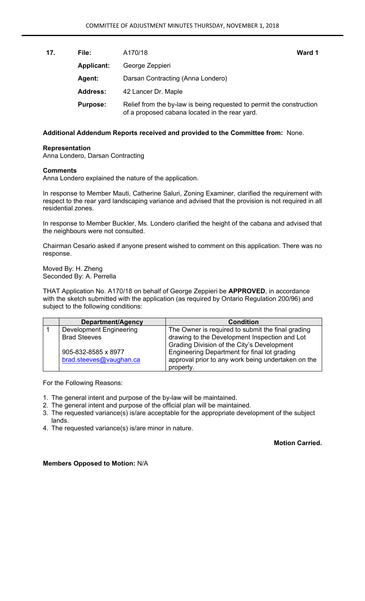| 17. | File:             | A170/18                                                                                                                | Ward 1 |
|-----|-------------------|------------------------------------------------------------------------------------------------------------------------|--------|
|     | <b>Applicant:</b> | George Zeppieri                                                                                                        |        |
|     | <b>Agent:</b>     | Darsan Contracting (Anna Londero)                                                                                      |        |
|     | <b>Address:</b>   | 42 Lancer Dr. Maple                                                                                                    |        |
|     | <b>Purpose:</b>   | Relief from the by-law is being requested to permit the construction<br>of a proposed cabana located in the rear yard. |        |

#### **Representation**

Anna Londero, Darsan Contracting

#### **Comments**

Anna Londero explained the nature of the application.

In response to Member Mauti, Catherine Saluri, Zoning Examiner, clarified the requirement with respect to the rear yard landscaping variance and advised that the provision is not required in all residential zones.

In response to Member Buckler, Ms. Londero clarified the height of the cabana and advised that the neighbours were not consulted.

Chairman Cesario asked if anyone present wished to comment on this application. There was no response.

Moved By: H. Zheng Seconded By: A. Perrella

THAT Application No. A170/18 on behalf of George Zeppieri be **APPROVED**, in accordance with the sketch submitted with the application (as required by Ontario Regulation 200/96) and subject to the following conditions:

| Department/Agency              | <b>Condition</b>                                   |
|--------------------------------|----------------------------------------------------|
| <b>Development Engineering</b> | The Owner is required to submit the final grading  |
| <b>Brad Steeves</b>            | drawing to the Development Inspection and Lot      |
|                                | Grading Division of the City's Development         |
| 905-832-8585 x 8977            | Engineering Department for final lot grading       |
| brad.steeves@vaughan.ca        | approval prior to any work being undertaken on the |
|                                | property.                                          |

For the Following Reasons:

- 1. The general intent and purpose of the by-law will be maintained.
- 2. The general intent and purpose of the official plan will be maintained.
- 3. The requested variance(s) is/are acceptable for the appropriate development of the subject lands.
- 4. The requested variance(s) is/are minor in nature.

**Motion Carried.**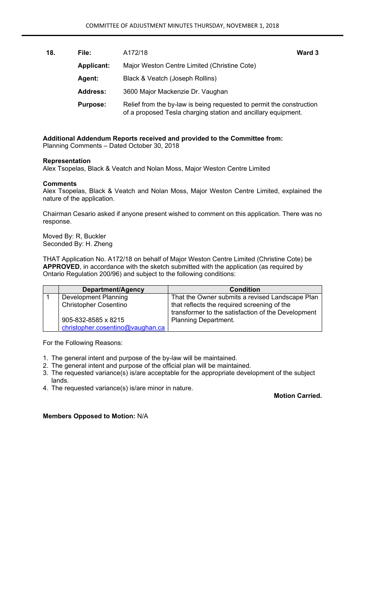| 18. | File:             | A172/18                                                                                                                               | Ward 3 |
|-----|-------------------|---------------------------------------------------------------------------------------------------------------------------------------|--------|
|     | <b>Applicant:</b> | Major Weston Centre Limited (Christine Cote)                                                                                          |        |
|     | <b>Agent:</b>     | Black & Veatch (Joseph Rollins)                                                                                                       |        |
|     | <b>Address:</b>   | 3600 Major Mackenzie Dr. Vaughan                                                                                                      |        |
|     | <b>Purpose:</b>   | Relief from the by-law is being requested to permit the construction<br>of a proposed Tesla charging station and ancillary equipment. |        |

## **Additional Addendum Reports received and provided to the Committee from:**  Planning Comments – Dated October 30, 2018

#### **Representation**

Alex Tsopelas, Black & Veatch and Nolan Moss, Major Weston Centre Limited

## **Comments**

Alex Tsopelas, Black & Veatch and Nolan Moss, Major Weston Centre Limited, explained the nature of the application.

Chairman Cesario asked if anyone present wished to comment on this application. There was no response.

Moved By: R, Buckler Seconded By: H. Zheng

THAT Application No. A172/18 on behalf of Major Weston Centre Limited (Christine Cote) be **APPROVED**, in accordance with the sketch submitted with the application (as required by Ontario Regulation 200/96) and subject to the following conditions:

| Department/Agency                                       | <b>Condition</b>                                                                                  |
|---------------------------------------------------------|---------------------------------------------------------------------------------------------------|
| <b>Development Planning</b>                             | That the Owner submits a revised Landscape Plan                                                   |
| <b>Christopher Cosentino</b>                            | that reflects the required screening of the<br>transformer to the satisfaction of the Development |
| 905-832-8585 x 8215<br>christopher.cosentino@vaughan.ca | <b>Planning Department.</b>                                                                       |

For the Following Reasons:

- 1. The general intent and purpose of the by-law will be maintained.
- 2. The general intent and purpose of the official plan will be maintained.
- 3. The requested variance(s) is/are acceptable for the appropriate development of the subject lands.
- 4. The requested variance(s) is/are minor in nature.

**Motion Carried.**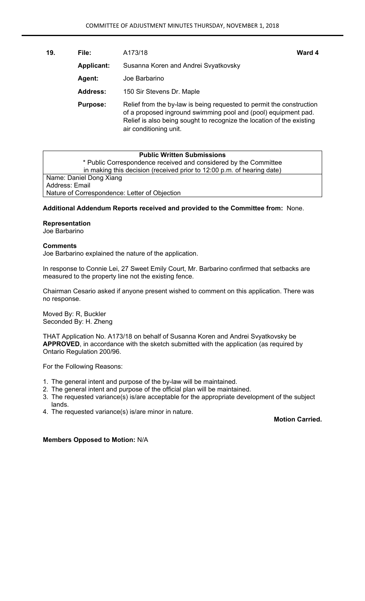**19. File:** A173/18 **Ward 4** 

| <b>Applicant:</b> | Susanna Koren and Andrei Svyatkovsky                                                                                                                                                                                                      |
|-------------------|-------------------------------------------------------------------------------------------------------------------------------------------------------------------------------------------------------------------------------------------|
| Agent:            | Joe Barbarino                                                                                                                                                                                                                             |
| <b>Address:</b>   | 150 Sir Stevens Dr. Maple                                                                                                                                                                                                                 |
| <b>Purpose:</b>   | Relief from the by-law is being requested to permit the construction<br>of a proposed inground swimming pool and (pool) equipment pad.<br>Relief is also being sought to recognize the location of the existing<br>air conditioning unit. |

| <b>Public Written Submissions</b>                                      |  |  |  |  |
|------------------------------------------------------------------------|--|--|--|--|
|                                                                        |  |  |  |  |
| * Public Correspondence received and considered by the Committee       |  |  |  |  |
| in making this decision (received prior to 12:00 p.m. of hearing date) |  |  |  |  |
| Name: Daniel Dong Xiang                                                |  |  |  |  |
| Address: Email                                                         |  |  |  |  |
| Nature of Correspondence: Letter of Objection                          |  |  |  |  |

## **Additional Addendum Reports received and provided to the Committee from:** None.

#### **Representation**

Joe Barbarino

#### **Comments**

Joe Barbarino explained the nature of the application.

In response to Connie Lei, 27 Sweet Emily Court, Mr. Barbarino confirmed that setbacks are measured to the property line not the existing fence.

Chairman Cesario asked if anyone present wished to comment on this application. There was no response.

Moved By: R, Buckler Seconded By: H. Zheng

THAT Application No. A173/18 on behalf of Susanna Koren and Andrei Svyatkovsky be **APPROVED**, in accordance with the sketch submitted with the application (as required by Ontario Regulation 200/96.

For the Following Reasons:

- 1. The general intent and purpose of the by-law will be maintained.
- 2. The general intent and purpose of the official plan will be maintained.
- 3. The requested variance(s) is/are acceptable for the appropriate development of the subject lands.
- 4. The requested variance(s) is/are minor in nature.

**Motion Carried.**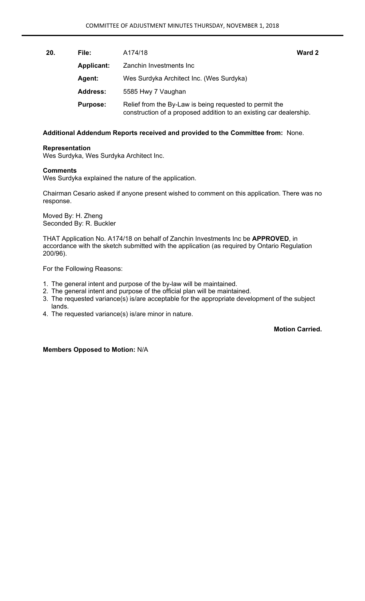| 20. | File:             | A174/18                                                                                                                       | Ward 2 |
|-----|-------------------|-------------------------------------------------------------------------------------------------------------------------------|--------|
|     | <b>Applicant:</b> | Zanchin Investments Inc                                                                                                       |        |
|     | <b>Agent:</b>     | Wes Surdyka Architect Inc. (Wes Surdyka)                                                                                      |        |
|     | <b>Address:</b>   | 5585 Hwy 7 Vaughan                                                                                                            |        |
|     | <b>Purpose:</b>   | Relief from the By-Law is being requested to permit the<br>construction of a proposed addition to an existing car dealership. |        |

#### **Representation**

Wes Surdyka, Wes Surdyka Architect Inc.

#### **Comments**

Wes Surdyka explained the nature of the application.

Chairman Cesario asked if anyone present wished to comment on this application. There was no response.

Moved By: H. Zheng Seconded By: R. Buckler

THAT Application No. A174/18 on behalf of Zanchin Investments Inc be **APPROVED**, in accordance with the sketch submitted with the application (as required by Ontario Regulation 200/96).

For the Following Reasons:

- 1. The general intent and purpose of the by-law will be maintained.
- 2. The general intent and purpose of the official plan will be maintained.
- 3. The requested variance(s) is/are acceptable for the appropriate development of the subject lands.
- 4. The requested variance(s) is/are minor in nature.

## **Motion Carried.**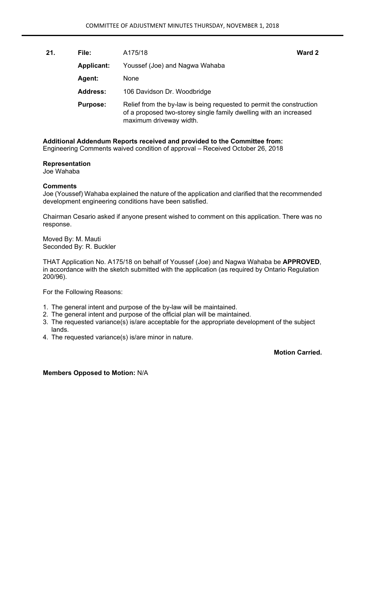| 21. | File:             | A175/18                                                                                                                                                              | Ward 2 |
|-----|-------------------|----------------------------------------------------------------------------------------------------------------------------------------------------------------------|--------|
|     | <b>Applicant:</b> | Youssef (Joe) and Nagwa Wahaba                                                                                                                                       |        |
|     | Agent:            | <b>None</b>                                                                                                                                                          |        |
|     | <b>Address:</b>   | 106 Davidson Dr. Woodbridge                                                                                                                                          |        |
|     | <b>Purpose:</b>   | Relief from the by-law is being requested to permit the construction<br>of a proposed two-storey single family dwelling with an increased<br>maximum driveway width. |        |

**Additional Addendum Reports received and provided to the Committee from:**  Engineering Comments waived condition of approval – Received October 26, 2018

## **Representation**

Joe Wahaba

## **Comments**

Joe (Youssef) Wahaba explained the nature of the application and clarified that the recommended development engineering conditions have been satisfied.

Chairman Cesario asked if anyone present wished to comment on this application. There was no response.

Moved By: M. Mauti Seconded By: R. Buckler

THAT Application No. A175/18 on behalf of Youssef (Joe) and Nagwa Wahaba be **APPROVED**, in accordance with the sketch submitted with the application (as required by Ontario Regulation 200/96).

For the Following Reasons:

- 1. The general intent and purpose of the by-law will be maintained.
- 2. The general intent and purpose of the official plan will be maintained.
- 3. The requested variance(s) is/are acceptable for the appropriate development of the subject lands.
- 4. The requested variance(s) is/are minor in nature.

**Motion Carried.**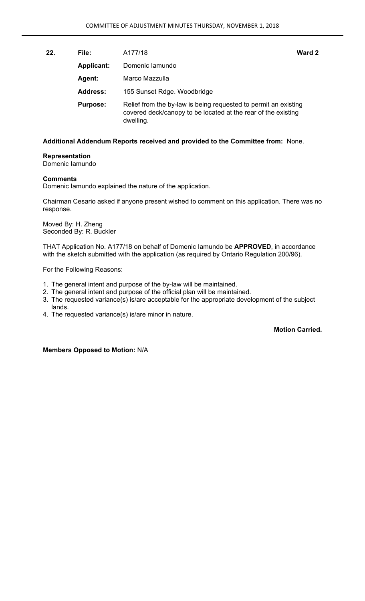| File:             |                                                                                                                                               | Ward 2  |
|-------------------|-----------------------------------------------------------------------------------------------------------------------------------------------|---------|
| <b>Applicant:</b> | Domenic lamundo                                                                                                                               |         |
| <b>Agent:</b>     | Marco Mazzulla                                                                                                                                |         |
| <b>Address:</b>   | 155 Sunset Rdge. Woodbridge                                                                                                                   |         |
| <b>Purpose:</b>   | Relief from the by-law is being requested to permit an existing<br>covered deck/canopy to be located at the rear of the existing<br>dwelling. |         |
|                   |                                                                                                                                               | A177/18 |

## **Representation**

Domenic Iamundo

#### **Comments**

Domenic Iamundo explained the nature of the application.

Chairman Cesario asked if anyone present wished to comment on this application. There was no response.

Moved By: H. Zheng Seconded By: R. Buckler

THAT Application No. A177/18 on behalf of Domenic Iamundo be **APPROVED**, in accordance with the sketch submitted with the application (as required by Ontario Regulation 200/96).

For the Following Reasons:

- 1. The general intent and purpose of the by-law will be maintained.
- 2. The general intent and purpose of the official plan will be maintained.
- 3. The requested variance(s) is/are acceptable for the appropriate development of the subject lands.
- 4. The requested variance(s) is/are minor in nature.

## **Motion Carried.**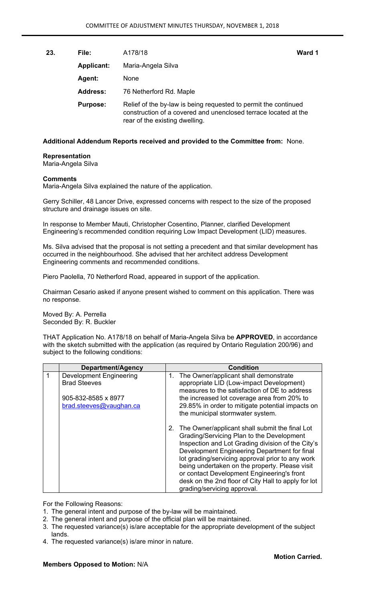**23. File:** A178/18 **Ward 1** 

| <b>Applicant:</b> | Maria-Angela Silva                                                                                                                                                   |  |
|-------------------|----------------------------------------------------------------------------------------------------------------------------------------------------------------------|--|
| <b>Agent:</b>     | None                                                                                                                                                                 |  |
| <b>Address:</b>   | 76 Netherford Rd. Maple                                                                                                                                              |  |
| <b>Purpose:</b>   | Relief of the by-law is being requested to permit the continued<br>construction of a covered and unenclosed terrace located at the<br>rear of the existing dwelling. |  |

## **Additional Addendum Reports received and provided to the Committee from:** None.

#### **Representation**

Maria-Angela Silva

#### **Comments**

Maria-Angela Silva explained the nature of the application.

Gerry Schiller, 48 Lancer Drive, expressed concerns with respect to the size of the proposed structure and drainage issues on site.

In response to Member Mauti, Christopher Cosentino, Planner, clarified Development Engineering's recommended condition requiring Low Impact Development (LID) measures.

Ms. Silva advised that the proposal is not setting a precedent and that similar development has occurred in the neighbourhood. She advised that her architect address Development Engineering comments and recommended conditions.

Piero Paolella, 70 Netherford Road, appeared in support of the application.

Chairman Cesario asked if anyone present wished to comment on this application. There was no response.

Moved By: A. Perrella Seconded By: R. Buckler

THAT Application No. A178/18 on behalf of Maria-Angela Silva be **APPROVED**, in accordance with the sketch submitted with the application (as required by Ontario Regulation 200/96) and subject to the following conditions:

|   | Department/Agency              |         | <b>Condition</b>                                                                                                                                                                                                                                                                                                                                                                                                                           |
|---|--------------------------------|---------|--------------------------------------------------------------------------------------------------------------------------------------------------------------------------------------------------------------------------------------------------------------------------------------------------------------------------------------------------------------------------------------------------------------------------------------------|
| 1 | <b>Development Engineering</b> | $1_{-}$ | The Owner/applicant shall demonstrate                                                                                                                                                                                                                                                                                                                                                                                                      |
|   | <b>Brad Steeves</b>            |         | appropriate LID (Low-impact Development)<br>measures to the satisfaction of DE to address                                                                                                                                                                                                                                                                                                                                                  |
|   | 905-832-8585 x 8977            |         | the increased lot coverage area from 20% to                                                                                                                                                                                                                                                                                                                                                                                                |
|   | brac.steeves@vaughan.ca        |         | 29.85% in order to mitigate potential impacts on                                                                                                                                                                                                                                                                                                                                                                                           |
|   |                                |         | the municipal stormwater system.                                                                                                                                                                                                                                                                                                                                                                                                           |
|   |                                | 2.      | The Owner/applicant shall submit the final Lot<br>Grading/Servicing Plan to the Development<br>Inspection and Lot Grading division of the City's<br>Development Engineering Department for final<br>lot grading/servicing approval prior to any work<br>being undertaken on the property. Please visit<br>or contact Development Engineering's front<br>desk on the 2nd floor of City Hall to apply for lot<br>grading/servicing approval. |

For the Following Reasons:

- 1. The general intent and purpose of the by-law will be maintained.
- 2. The general intent and purpose of the official plan will be maintained.
- 3. The requested variance(s) is/are acceptable for the appropriate development of the subject lands.
- 4. The requested variance(s) is/are minor in nature.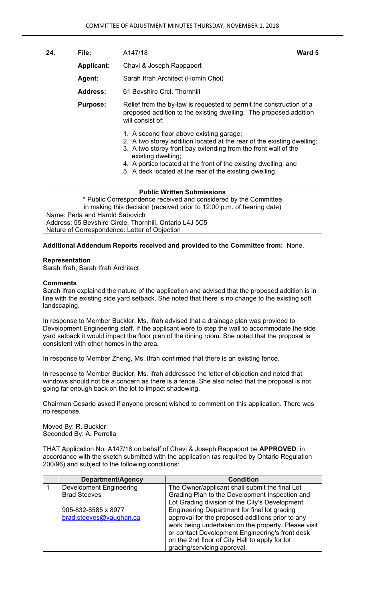**24. File:** A147/18 **Ward 5** 

 **Applicant:** Chavi & Joseph Rappaport

 **Agent:** Sarah Ifrah Architect (Homin Choi)

 **Address:** 61 Bevshire Crcl. Thornhill

**Purpose:** Relief from the by-law is requested to permit the construction of a proposed addition to the existing dwelling. The proposed addition will consist of:

- 1. A second floor above existing garage;
- 2. A two storey addition located at the rear of the existing dwelling;
- 3. A two storey front bay extending from the front wall of the existing dwelling;
- 4. A portico located at the front of the existing dwelling; and
- 5. A deck located at the rear of the existing dwelling.

## **Public Written Submissions**

\* Public Correspondence received and considered by the Committee in making this decision (received prior to 12:00 p.m. of hearing date) Name: Perla and Harold Sabovich

Address: 55 Bevshire Circle, Thornhill, Ontario L4J 5C5 Nature of Correspondence: Letter of Objection

## **Additional Addendum Reports received and provided to the Committee from:** None.

## **Representation**

Sarah Ifrah, Sarah Ifrah Architect

## **Comments**

Sarah Ifran explained the nature of the application and advised that the proposed addition is in line with the existing side yard setback. She noted that there is no change to the existing soft landscaping.

In response to Member Buckler, Ms. Ifrah advised that a drainage plan was provided to Development Engineering staff. If the applicant were to step the wall to accommodate the side yard setback it would impact the floor plan of the dining room. She noted that the proposal is consistent with other homes in the area.

In response to Member Zheng, Ms. Ifrah confirmed that there is an existing fence.

In response to Member Buckler, Ms. Ifrah addressed the letter of objection and noted that windows should not be a concern as there is a fence. She also noted that the proposal is not going far enough back on the lot to impact shadowing.

Chairman Cesario asked if anyone present wished to comment on this application. There was no response.

Moved By: R. Buckler Seconded By: A. Perrella

THAT Application No. A147/18 on behalf of Chavi & Joseph Rappaport be **APPROVED**, in accordance with the sketch submitted with the application (as required by Ontario Regulation 200/96) and subject to the following conditions:

| Department/Agency              | <b>Condition</b>                                    |
|--------------------------------|-----------------------------------------------------|
| <b>Development Engineering</b> | The Owner/applicant shall submit the final Lot      |
| <b>Brad Steeves</b>            | Grading Plan to the Development Inspection and      |
|                                | Lot Grading division of the City's Development      |
| 905-832-8585 x 8977            | Engineering Department for final lot grading        |
| brad.steeves@vaughan.ca        | approval for the proposed additions prior to any    |
|                                | work being undertaken on the property. Please visit |
|                                | or contact Development Engineering's front desk     |
|                                | on the 2nd floor of City Hall to apply for lot      |
|                                | grading/servicing approval.                         |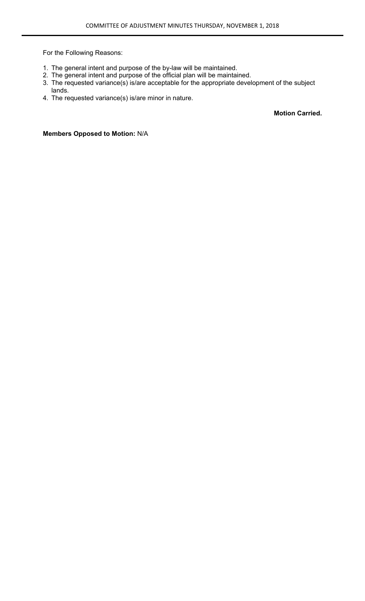For the Following Reasons:

- 1. The general intent and purpose of the by-law will be maintained.
- 2. The general intent and purpose of the official plan will be maintained.
- 3. The requested variance(s) is/are acceptable for the appropriate development of the subject lands.
- 4. The requested variance(s) is/are minor in nature.

**Motion Carried.**